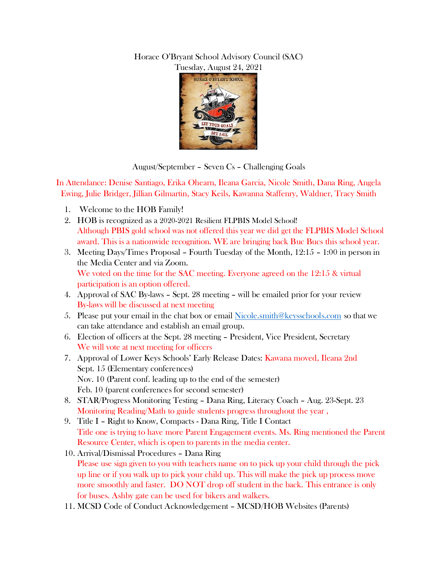## Horace O'Bryant School Advisory Council (SAC) Tuesday, August 24, 2021



August/September – Seven Cs – Challenging Goals

In Attendance: Denise Santiago, Erika Ohearn, Ileana Garcia, Nicole Smith, Dana Ring, Angela Ewing, Julie Bridger, Jillian Gilmartin, Stacy Keils, Kawanna Staffenry, Waldner, Tracy Smith

- 1. Welcome to the HOB Family!
- 2. HOB is recognized as a 2020-2021 Resilient FLPBIS Model School! Although PBIS gold school was not offered this year we did get the FLPBIS Model School award. This is a nationwide recognition. WE are bringing back Buc Bucs this school year.
- 3. Meeting Days/Times Proposal Fourth Tuesday of the Month, 12:15 1:00 in person in the Media Center and via Zoom. We voted on the time for the SAC meeting. Everyone agreed on the 12:15 & virtual participation is an option offered.
- 4. Approval of SAC By-laws Sept. 28 meeting will be emailed prior for your review By-laws will be discussed at next meeting
- 5. Please put your email in the chat box or email [Nicole.smith@keysschools.com](mailto:Nicole.smith@keysschools.com) so that we can take attendance and establish an email group.
- 6. Election of officers at the Sept. 28 meeting President, Vice President, Secretary We will vote at next meeting for officers
- 7. Approval of Lower Keys Schools' Early Release Dates: Kawana moved, Ileana 2nd Sept. 15 (Elementary conferences) Nov. 10 (Parent conf. leading up to the end of the semester) Feb. 10 (parent conferences for second semester)
- 8. STAR/Progress Monitoring Testing Dana Ring, Literacy Coach Aug. 23-Sept. 23 Monitoring Reading/Math to guide students progress throughout the year ,
- 9. Title I Right to Know, Compacts Dana Ring, Title I Contact Title one is trying to have more Parent Engagement events. Ms. Ring mentioned the Parent Resource Center, which is open to parents in the media center.
- 10. Arrival/Dismissal Procedures Dana Ring Please use sign given to you with teachers name on to pick up your child through the pick up line or if you walk up to pick your child up. This will make the pick up process move more smoothly and faster. DO NOT drop off student in the back. This entrance is only for buses. Ashby gate can be used for bikers and walkers.
- 11. MCSD Code of Conduct Acknowledgement MCSD/HOB Websites (Parents)